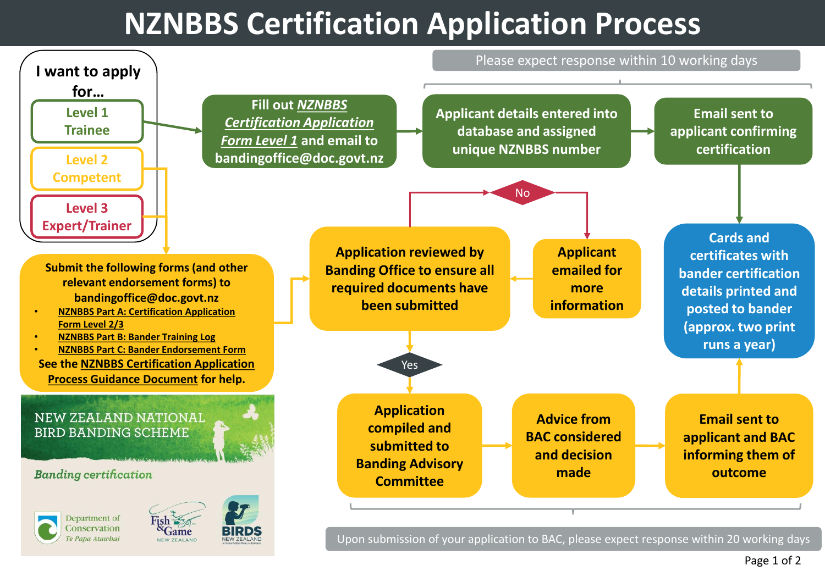# **NZNBBS Certification Application Process**



Te Papa Atawbai

Upon submission of your application to BAC, please expect response within 20 working days

Page 1 of 2